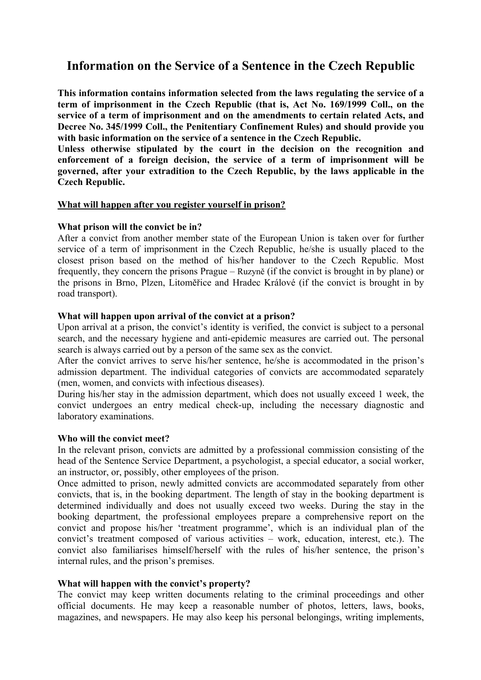# **Information on the Service of a Sentence in the Czech Republic**

**This information contains information selected from the laws regulating the service of a term of imprisonment in the Czech Republic (that is, Act No. 169/1999 Coll., on the service of a term of imprisonment and on the amendments to certain related Acts, and Decree No. 345/1999 Coll., the Penitentiary Confinement Rules) and should provide you with basic information on the service of a sentence in the Czech Republic.**

**Unless otherwise stipulated by the court in the decision on the recognition and enforcement of a foreign decision, the service of a term of imprisonment will be governed, after your extradition to the Czech Republic, by the laws applicable in the Czech Republic.**

#### **What will happen after you register yourself in prison?**

#### **What prison will the convict be in?**

After a convict from another member state of the European Union is taken over for further service of a term of imprisonment in the Czech Republic, he/she is usually placed to the closest prison based on the method of his/her handover to the Czech Republic. Most frequently, they concern the prisons Prague – Ruzyně (if the convict is brought in by plane) or the prisons in Brno, Plzen, Litoměřice and Hradec Králové (if the convict is brought in by road transport).

#### **What will happen upon arrival of the convict at a prison?**

Upon arrival at a prison, the convict's identity is verified, the convict is subject to a personal search, and the necessary hygiene and anti-epidemic measures are carried out. The personal search is always carried out by a person of the same sex as the convict.

After the convict arrives to serve his/her sentence, he/she is accommodated in the prison's admission department. The individual categories of convicts are accommodated separately (men, women, and convicts with infectious diseases).

During his/her stay in the admission department, which does not usually exceed 1 week, the convict undergoes an entry medical check-up, including the necessary diagnostic and laboratory examinations.

#### **Who will the convict meet?**

In the relevant prison, convicts are admitted by a professional commission consisting of the head of the Sentence Service Department, a psychologist, a special educator, a social worker, an instructor, or, possibly, other employees of the prison.

Once admitted to prison, newly admitted convicts are accommodated separately from other convicts, that is, in the booking department. The length of stay in the booking department is determined individually and does not usually exceed two weeks. During the stay in the booking department, the professional employees prepare a comprehensive report on the convict and propose his/her 'treatment programme', which is an individual plan of the convict's treatment composed of various activities – work, education, interest, etc.). The convict also familiarises himself/herself with the rules of his/her sentence, the prison's internal rules, and the prison's premises.

#### **What will happen with the convict's property?**

The convict may keep written documents relating to the criminal proceedings and other official documents. He may keep a reasonable number of photos, letters, laws, books, magazines, and newspapers. He may also keep his personal belongings, writing implements,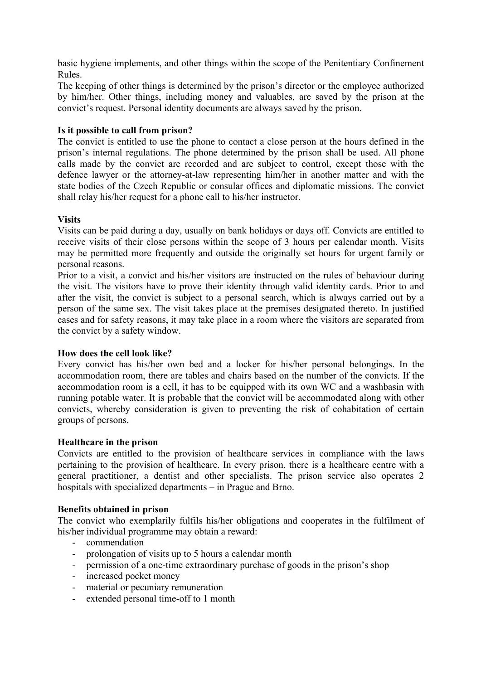basic hygiene implements, and other things within the scope of the Penitentiary Confinement Rules.

The keeping of other things is determined by the prison's director or the employee authorized by him/her. Other things, including money and valuables, are saved by the prison at the convict's request. Personal identity documents are always saved by the prison.

## **Is it possible to call from prison?**

The convict is entitled to use the phone to contact a close person at the hours defined in the prison's internal regulations. The phone determined by the prison shall be used. All phone calls made by the convict are recorded and are subject to control, except those with the defence lawyer or the attorney-at-law representing him/her in another matter and with the state bodies of the Czech Republic or consular offices and diplomatic missions. The convict shall relay his/her request for a phone call to his/her instructor.

### **Visits**

Visits can be paid during a day, usually on bank holidays or days off. Convicts are entitled to receive visits of their close persons within the scope of 3 hours per calendar month. Visits may be permitted more frequently and outside the originally set hours for urgent family or personal reasons.

Prior to a visit, a convict and his/her visitors are instructed on the rules of behaviour during the visit. The visitors have to prove their identity through valid identity cards. Prior to and after the visit, the convict is subject to a personal search, which is always carried out by a person of the same sex. The visit takes place at the premises designated thereto. In justified cases and for safety reasons, it may take place in a room where the visitors are separated from the convict by a safety window.

#### **How does the cell look like?**

Every convict has his/her own bed and a locker for his/her personal belongings. In the accommodation room, there are tables and chairs based on the number of the convicts. If the accommodation room is a cell, it has to be equipped with its own WC and a washbasin with running potable water. It is probable that the convict will be accommodated along with other convicts, whereby consideration is given to preventing the risk of cohabitation of certain groups of persons.

#### **Healthcare in the prison**

Convicts are entitled to the provision of healthcare services in compliance with the laws pertaining to the provision of healthcare. In every prison, there is a healthcare centre with a general practitioner, a dentist and other specialists. The prison service also operates 2 hospitals with specialized departments – in Prague and Brno.

# **Benefits obtained in prison**

The convict who exemplarily fulfils his/her obligations and cooperates in the fulfilment of his/her individual programme may obtain a reward:

- commendation
- prolongation of visits up to 5 hours a calendar month
- permission of a one-time extraordinary purchase of goods in the prison's shop
- increased pocket money
- material or pecuniary remuneration
- extended personal time-off to 1 month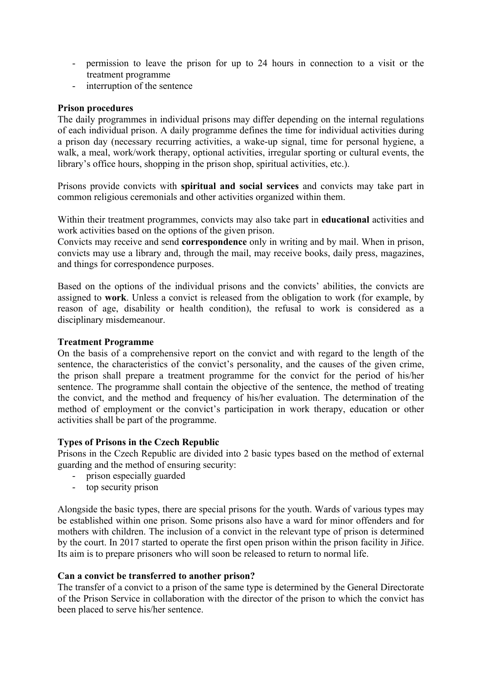- permission to leave the prison for up to 24 hours in connection to a visit or the treatment programme
- interruption of the sentence

# **Prison procedures**

The daily programmes in individual prisons may differ depending on the internal regulations of each individual prison. A daily programme defines the time for individual activities during a prison day (necessary recurring activities, a wake-up signal, time for personal hygiene, a walk, a meal, work/work therapy, optional activities, irregular sporting or cultural events, the library's office hours, shopping in the prison shop, spiritual activities, etc.).

Prisons provide convicts with **spiritual and social services** and convicts may take part in common religious ceremonials and other activities organized within them.

Within their treatment programmes, convicts may also take part in **educational** activities and work activities based on the options of the given prison.

Convicts may receive and send **correspondence** only in writing and by mail. When in prison, convicts may use a library and, through the mail, may receive books, daily press, magazines, and things for correspondence purposes.

Based on the options of the individual prisons and the convicts' abilities, the convicts are assigned to **work**. Unless a convict is released from the obligation to work (for example, by reason of age, disability or health condition), the refusal to work is considered as a disciplinary misdemeanour.

## **Treatment Programme**

On the basis of a comprehensive report on the convict and with regard to the length of the sentence, the characteristics of the convict's personality, and the causes of the given crime, the prison shall prepare a treatment programme for the convict for the period of his/her sentence. The programme shall contain the objective of the sentence, the method of treating the convict, and the method and frequency of his/her evaluation. The determination of the method of employment or the convict's participation in work therapy, education or other activities shall be part of the programme.

# **Types of Prisons in the Czech Republic**

Prisons in the Czech Republic are divided into 2 basic types based on the method of external guarding and the method of ensuring security:

- prison especially guarded
- top security prison

Alongside the basic types, there are special prisons for the youth. Wards of various types may be established within one prison. Some prisons also have a ward for minor offenders and for mothers with children. The inclusion of a convict in the relevant type of prison is determined by the court. In 2017 started to operate the first open prison within the prison facility in Jiřice. Its aim is to prepare prisoners who will soon be released to return to normal life.

# **Can a convict be transferred to another prison?**

The transfer of a convict to a prison of the same type is determined by the General Directorate of the Prison Service in collaboration with the director of the prison to which the convict has been placed to serve his/her sentence.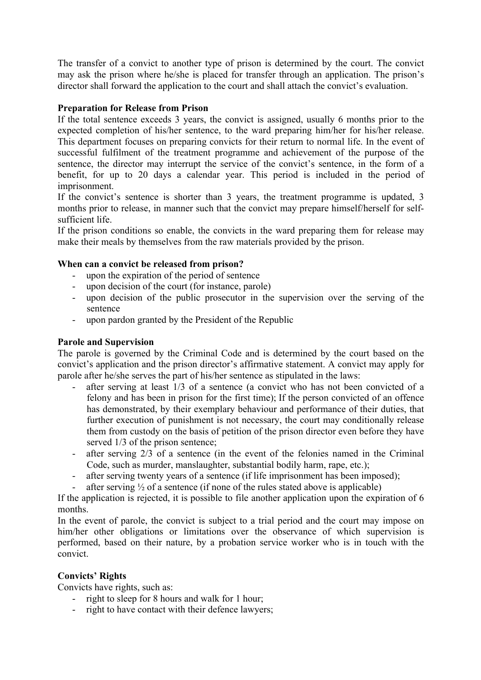The transfer of a convict to another type of prison is determined by the court. The convict may ask the prison where he/she is placed for transfer through an application. The prison's director shall forward the application to the court and shall attach the convict's evaluation.

## **Preparation for Release from Prison**

If the total sentence exceeds 3 years, the convict is assigned, usually 6 months prior to the expected completion of his/her sentence, to the ward preparing him/her for his/her release. This department focuses on preparing convicts for their return to normal life. In the event of successful fulfilment of the treatment programme and achievement of the purpose of the sentence, the director may interrupt the service of the convict's sentence, in the form of a benefit, for up to 20 days a calendar year. This period is included in the period of imprisonment.

If the convict's sentence is shorter than 3 years, the treatment programme is updated, 3 months prior to release, in manner such that the convict may prepare himself/herself for selfsufficient life.

If the prison conditions so enable, the convicts in the ward preparing them for release may make their meals by themselves from the raw materials provided by the prison.

### **When can a convict be released from prison?**

- upon the expiration of the period of sentence
- upon decision of the court (for instance, parole)
- upon decision of the public prosecutor in the supervision over the serving of the sentence
- upon pardon granted by the President of the Republic

#### **Parole and Supervision**

The parole is governed by the Criminal Code and is determined by the court based on the convict's application and the prison director's affirmative statement. A convict may apply for parole after he/she serves the part of his/her sentence as stipulated in the laws:

- after serving at least  $1/3$  of a sentence (a convict who has not been convicted of a felony and has been in prison for the first time); If the person convicted of an offence has demonstrated, by their exemplary behaviour and performance of their duties, that further execution of punishment is not necessary, the court may conditionally release them from custody on the basis of petition of the prison director even before they have served  $1/3$  of the prison sentence;
- after serving 2/3 of a sentence (in the event of the felonies named in the Criminal Code, such as murder, manslaughter, substantial bodily harm, rape, etc.);
- after serving twenty years of a sentence (if life imprisonment has been imposed);
- after serving  $\frac{1}{2}$  of a sentence (if none of the rules stated above is applicable)

If the application is rejected, it is possible to file another application upon the expiration of 6 months.

In the event of parole, the convict is subject to a trial period and the court may impose on him/her other obligations or limitations over the observance of which supervision is performed, based on their nature, by a probation service worker who is in touch with the convict.

# **Convicts' Rights**

Convicts have rights, such as:

- right to sleep for 8 hours and walk for 1 hour;
- right to have contact with their defence lawyers;